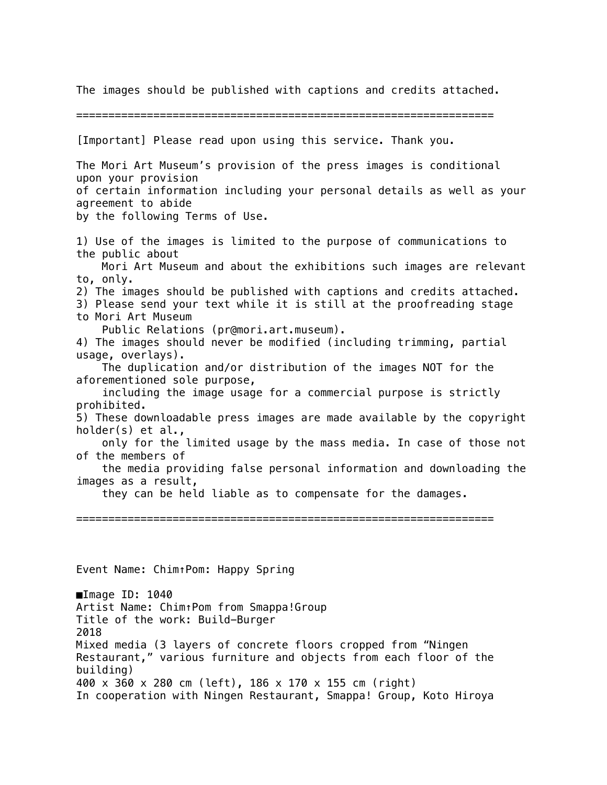The images should be published with captions and credits attached.

=================================================================

[Important] Please read upon using this service. Thank you. The Mori Art Museum's provision of the press images is conditional upon your provision of certain information including your personal details as well as your agreement to abide by the following Terms of Use. 1) Use of the images is limited to the purpose of communications to the public about Mori Art Museum and about the exhibitions such images are relevant to, only. 2) The images should be published with captions and credits attached. 3) Please send your text while it is still at the proofreading stage to Mori Art Museum Public Relations (pr@mori.art.museum). 4) The images should never be modified (including trimming, partial usage, overlays). The duplication and/or distribution of the images NOT for the aforementioned sole purpose, including the image usage for a commercial purpose is strictly prohibited. 5) These downloadable press images are made available by the copyright holder(s) et al., only for the limited usage by the mass media. In case of those not of the members of the media providing false personal information and downloading the images as a result, they can be held liable as to compensate for the damages. ================================================================= Event Name: Chim↑Pom: Happy Spring

■Image ID: 1040 Artist Name: Chim↑Pom from Smappa!Group Title of the work: Build-Burger 2018 Mixed media (3 layers of concrete floors cropped from "Ningen Restaurant," various furniture and objects from each floor of the building) 400 x 360 x 280 cm (left), 186 x 170 x 155 cm (right) In cooperation with Ningen Restaurant, Smappa! Group, Koto Hiroya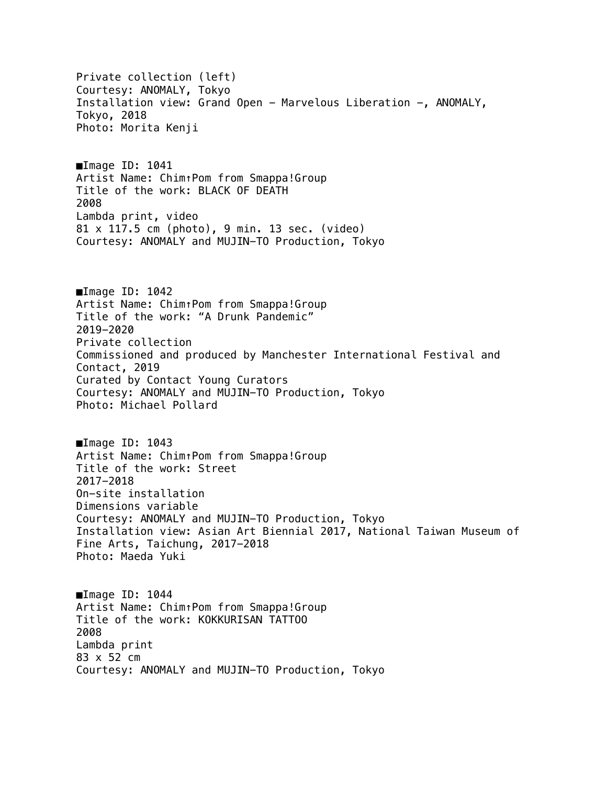Private collection (left) Courtesy: ANOMALY, Tokyo Installation view: Grand Open - Marvelous Liberation -, ANOMALY, Tokyo, 2018 Photo: Morita Kenji ■Image ID: 1041 Artist Name: Chim↑Pom from Smappa!Group Title of the work: BLACK OF DEATH 2008 Lambda print, video 81 x 117.5 cm (photo), 9 min. 13 sec. (video) Courtesy: ANOMALY and MUJIN-TO Production, Tokyo ■Image ID: 1042 Artist Name: Chim↑Pom from Smappa!Group Title of the work: "A Drunk Pandemic" 2019-2020 Private collection Commissioned and produced by Manchester International Festival and Contact, 2019 Curated by Contact Young Curators Courtesy: ANOMALY and MUJIN-TO Production, Tokyo Photo: Michael Pollard ■Image ID: 1043 Artist Name: Chim↑Pom from Smappa!Group Title of the work: Street 2017-2018 On-site installation Dimensions variable Courtesy: ANOMALY and MUJIN-TO Production, Tokyo Installation view: Asian Art Biennial 2017, National Taiwan Museum of Fine Arts, Taichung, 2017-2018 Photo: Maeda Yuki ■Image ID: 1044 Artist Name: Chim↑Pom from Smappa!Group Title of the work: KOKKURISAN TATTOO 2008 Lambda print 83 x 52 cm Courtesy: ANOMALY and MUJIN-TO Production, Tokyo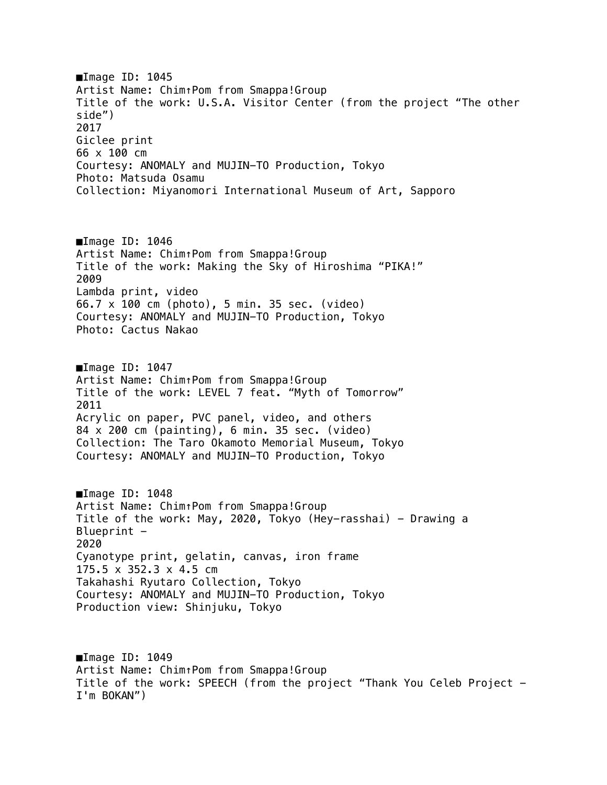■Image ID: 1045 Artist Name: Chim↑Pom from Smappa!Group Title of the work: U.S.A. Visitor Center (from the project "The other side") 2017 Giclee print 66 x 100 cm Courtesy: ANOMALY and MUJIN-TO Production, Tokyo Photo: Matsuda Osamu Collection: Miyanomori International Museum of Art, Sapporo ■Image ID: 1046 Artist Name: Chim↑Pom from Smappa!Group Title of the work: Making the Sky of Hiroshima "PIKA!" 2009 Lambda print, video 66.7 x 100 cm (photo), 5 min. 35 sec. (video) Courtesy: ANOMALY and MUJIN-TO Production, Tokyo Photo: Cactus Nakao ■Image ID: 1047 Artist Name: Chim↑Pom from Smappa!Group Title of the work: LEVEL 7 feat. "Myth of Tomorrow" 2011 Acrylic on paper, PVC panel, video, and others 84 x 200 cm (painting), 6 min. 35 sec. (video) Collection: The Taro Okamoto Memorial Museum, Tokyo Courtesy: ANOMALY and MUJIN-TO Production, Tokyo ■Image ID: 1048 Artist Name: Chim↑Pom from Smappa!Group Title of the work: May, 2020, Tokyo (Hey-rasshai) - Drawing a Blueprint  $-$ 2020 Cyanotype print, gelatin, canvas, iron frame 175.5 x 352.3 x 4.5 cm Takahashi Ryutaro Collection, Tokyo Courtesy: ANOMALY and MUJIN-TO Production, Tokyo Production view: Shinjuku, Tokyo

■Image ID: 1049 Artist Name: Chim↑Pom from Smappa!Group Title of the work: SPEECH (from the project "Thank You Celeb Project - I'm BOKAN")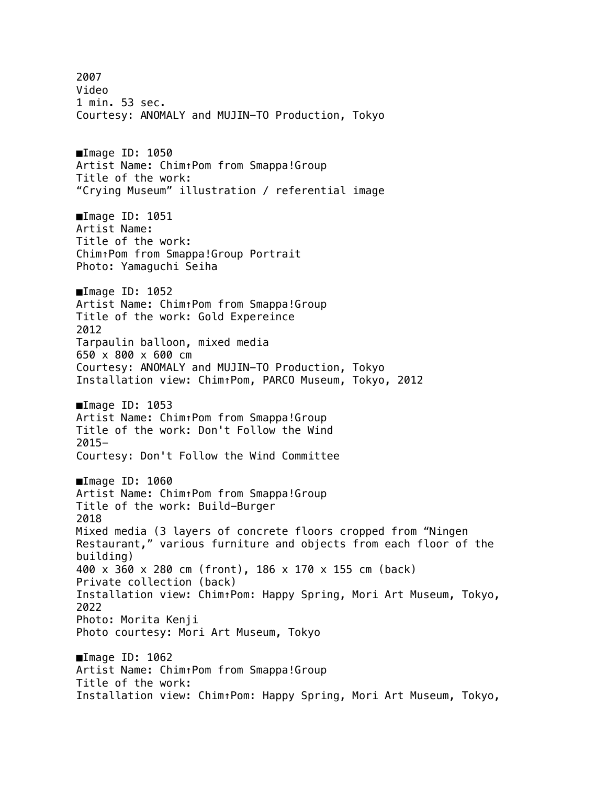2007 Video 1 min. 53 sec. Courtesy: ANOMALY and MUJIN-TO Production, Tokyo ■Image ID: 1050 Artist Name: Chim↑Pom from Smappa!Group Title of the work: "Crying Museum" illustration / referential image ■Image ID: 1051 Artist Name: Title of the work: Chim↑Pom from Smappa!Group Portrait Photo: Yamaguchi Seiha ■Image ID: 1052 Artist Name: Chim↑Pom from Smappa!Group Title of the work: Gold Expereince 2012 Tarpaulin balloon, mixed media 650 x 800 x 600 cm Courtesy: ANOMALY and MUJIN-TO Production, Tokyo Installation view: Chim↑Pom, PARCO Museum, Tokyo, 2012 ■Image ID: 1053 Artist Name: Chim↑Pom from Smappa!Group Title of the work: Don't Follow the Wind 2015- Courtesy: Don't Follow the Wind Committee ■Image ID: 1060 Artist Name: Chim↑Pom from Smappa!Group Title of the work: Build-Burger 2018 Mixed media (3 layers of concrete floors cropped from "Ningen Restaurant," various furniture and objects from each floor of the building) 400 x 360 x 280 cm (front), 186 x 170 x 155 cm (back) Private collection (back) Installation view: Chim↑Pom: Happy Spring, Mori Art Museum, Tokyo, 2022 Photo: Morita Kenji Photo courtesy: Mori Art Museum, Tokyo ■Image ID: 1062 Artist Name: Chim↑Pom from Smappa!Group Title of the work: Installation view: Chim↑Pom: Happy Spring, Mori Art Museum, Tokyo,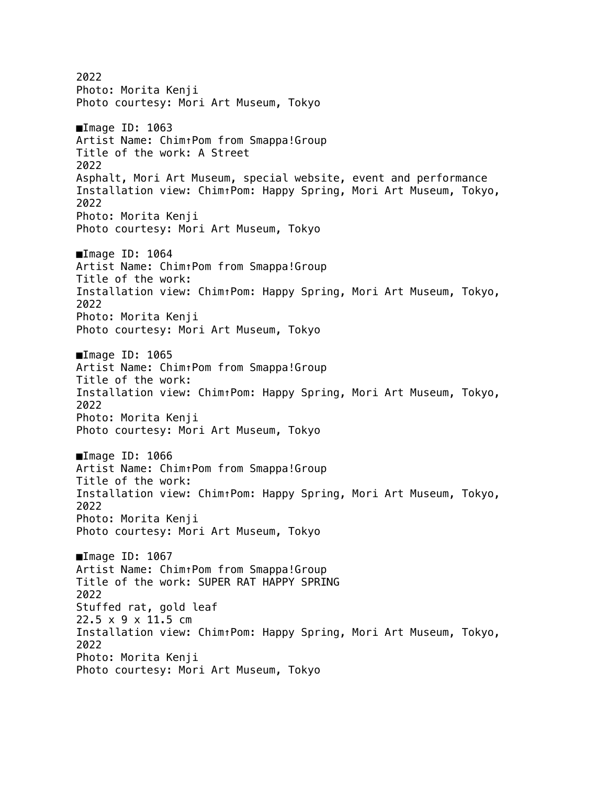2022 Photo: Morita Kenji Photo courtesy: Mori Art Museum, Tokyo ■Image ID: 1063 Artist Name: Chim↑Pom from Smappa!Group Title of the work: A Street 2022 Asphalt, Mori Art Museum, special website, event and performance Installation view: Chim↑Pom: Happy Spring, Mori Art Museum, Tokyo, 2022 Photo: Morita Kenji Photo courtesy: Mori Art Museum, Tokyo ■Image ID: 1064 Artist Name: Chim↑Pom from Smappa!Group Title of the work: Installation view: Chim↑Pom: Happy Spring, Mori Art Museum, Tokyo, 2022 Photo: Morita Kenji Photo courtesy: Mori Art Museum, Tokyo ■Image ID: 1065 Artist Name: Chim↑Pom from Smappa!Group Title of the work: Installation view: Chim↑Pom: Happy Spring, Mori Art Museum, Tokyo, 2022 Photo: Morita Kenji Photo courtesy: Mori Art Museum, Tokyo ■Image ID: 1066 Artist Name: Chim↑Pom from Smappa!Group Title of the work: Installation view: Chim↑Pom: Happy Spring, Mori Art Museum, Tokyo, 2022 Photo: Morita Kenji Photo courtesy: Mori Art Museum, Tokyo ■Image ID: 1067 Artist Name: Chim↑Pom from Smappa!Group Title of the work: SUPER RAT HAPPY SPRING 2022 Stuffed rat, gold leaf 22.5 x 9 x 11.5 cm Installation view: Chim↑Pom: Happy Spring, Mori Art Museum, Tokyo, 2022 Photo: Morita Kenji Photo courtesy: Mori Art Museum, Tokyo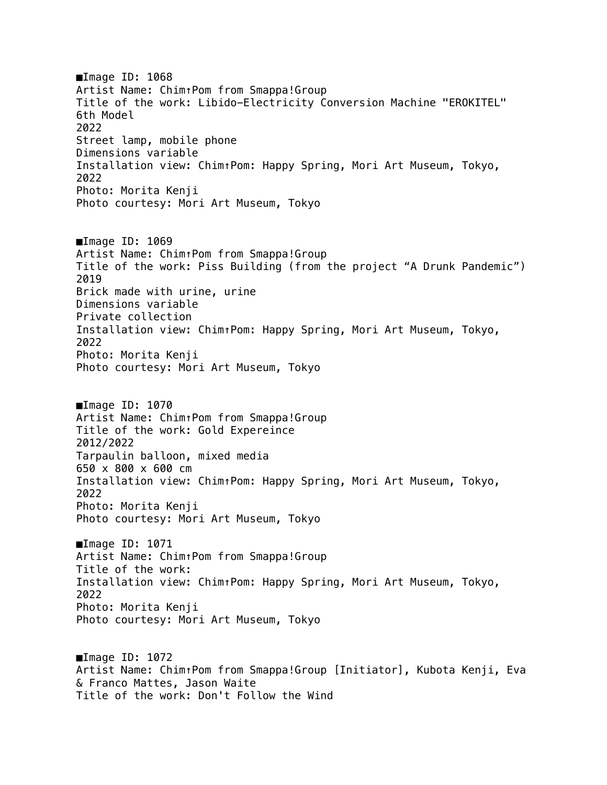■Image ID: 1068 Artist Name: Chim↑Pom from Smappa!Group Title of the work: Libido-Electricity Conversion Machine "EROKITEL" 6th Model 2022 Street lamp, mobile phone Dimensions variable Installation view: Chim↑Pom: Happy Spring, Mori Art Museum, Tokyo, 2022 Photo: Morita Kenji Photo courtesy: Mori Art Museum, Tokyo ■Image ID: 1069 Artist Name: Chim↑Pom from Smappa!Group Title of the work: Piss Building (from the project "A Drunk Pandemic") 2019 Brick made with urine, urine Dimensions variable Private collection Installation view: Chim↑Pom: Happy Spring, Mori Art Museum, Tokyo, 2022 Photo: Morita Kenji Photo courtesy: Mori Art Museum, Tokyo ■Image ID: 1070 Artist Name: Chim↑Pom from Smappa!Group Title of the work: Gold Expereince 2012/2022 Tarpaulin balloon, mixed media 650 x 800 x 600 cm Installation view: Chim↑Pom: Happy Spring, Mori Art Museum, Tokyo, 2022 Photo: Morita Kenji Photo courtesy: Mori Art Museum, Tokyo ■Image ID: 1071 Artist Name: Chim↑Pom from Smappa!Group Title of the work: Installation view: Chim↑Pom: Happy Spring, Mori Art Museum, Tokyo, 2022 Photo: Morita Kenji Photo courtesy: Mori Art Museum, Tokyo ■Image ID: 1072 Artist Name: Chim↑Pom from Smappa!Group [Initiator], Kubota Kenji, Eva & Franco Mattes, Jason Waite Title of the work: Don't Follow the Wind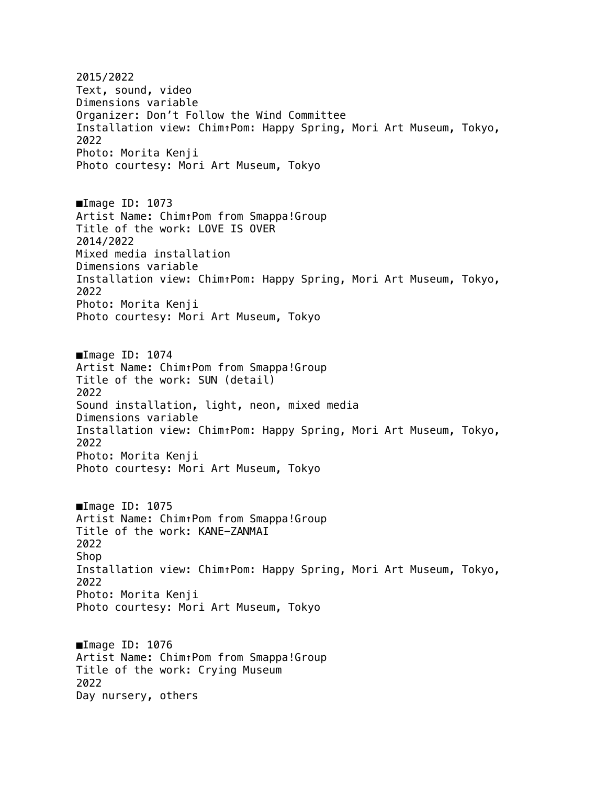2015/2022 Text, sound, video Dimensions variable Organizer: Don't Follow the Wind Committee Installation view: Chim↑Pom: Happy Spring, Mori Art Museum, Tokyo, 2022 Photo: Morita Kenji Photo courtesy: Mori Art Museum, Tokyo ■Image ID: 1073 Artist Name: Chim↑Pom from Smappa!Group Title of the work: LOVE IS OVER 2014/2022 Mixed media installation Dimensions variable Installation view: Chim↑Pom: Happy Spring, Mori Art Museum, Tokyo, 2022 Photo: Morita Kenji Photo courtesy: Mori Art Museum, Tokyo ■Image ID: 1074 Artist Name: Chim↑Pom from Smappa!Group Title of the work: SUN (detail) 2022 Sound installation, light, neon, mixed media Dimensions variable Installation view: Chim↑Pom: Happy Spring, Mori Art Museum, Tokyo, 2022 Photo: Morita Kenji Photo courtesy: Mori Art Museum, Tokyo ■Image ID: 1075 Artist Name: Chim↑Pom from Smappa!Group Title of the work: KANE-ZANMAI 2022 Shop Installation view: Chim↑Pom: Happy Spring, Mori Art Museum, Tokyo, 2022 Photo: Morita Kenji Photo courtesy: Mori Art Museum, Tokyo ■Image ID: 1076 Artist Name: Chim↑Pom from Smappa!Group Title of the work: Crying Museum 2022 Day nursery, others